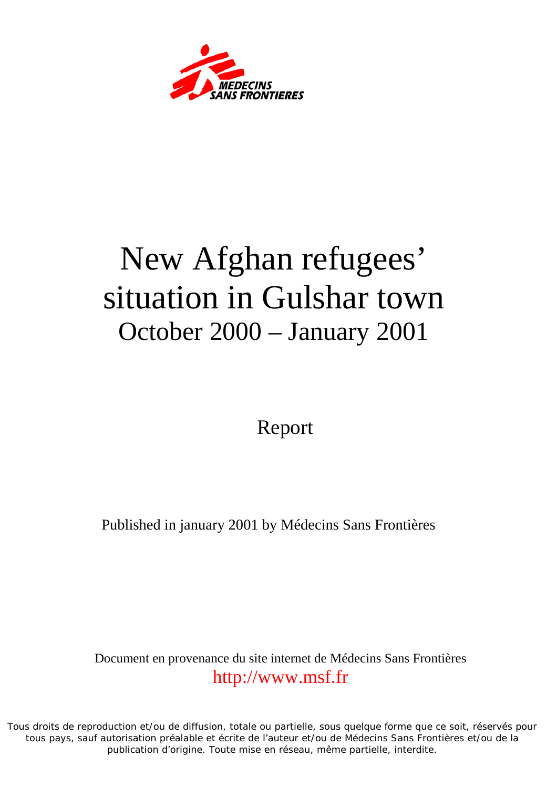

# New Afghan refugees' situation in Gulshar town October 2000 – January 2001

Report

Published in january 2001 by Médecins Sans Frontières

Document en provenance du site internet de Médecins Sans Frontières [http://www.msf.fr](http://www.msf.fr/)

Tous droits de reproduction et/ou de diffusion, totale ou partielle, sous quelque forme que ce soit, réservés pour tous pays, sauf autorisation préalable et écrite de l'auteur et/ou de Médecins Sans Frontières et/ou de la publication d'origine. Toute mise en réseau, même partielle, interdite.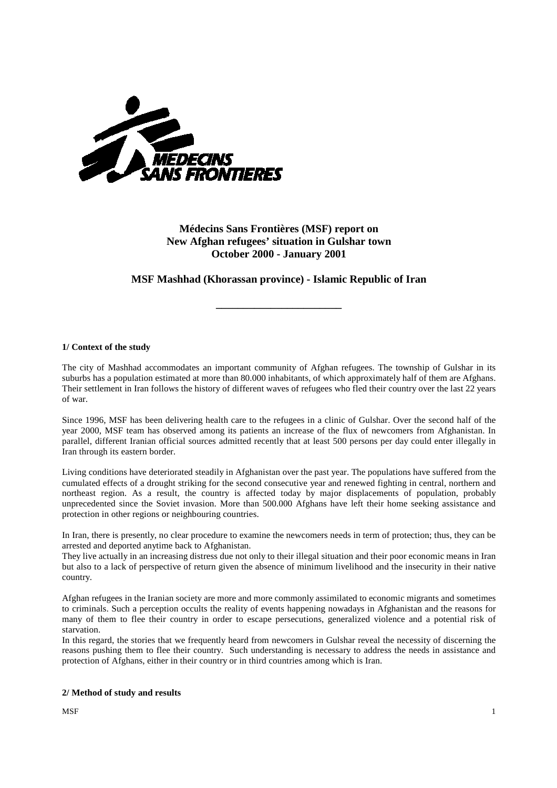

# **Médecins Sans Frontières (MSF) report on New Afghan refugees' situation in Gulshar town October 2000 - January 2001**

## **MSF Mashhad (Khorassan province) - Islamic Republic of Iran**

**\_\_\_\_\_\_\_\_\_\_\_\_\_\_\_\_\_\_\_\_\_\_\_** 

## **1/ Context of the study**

The city of Mashhad accommodates an important community of Afghan refugees. The township of Gulshar in its suburbs has a population estimated at more than 80.000 inhabitants, of which approximately half of them are Afghans. Their settlement in Iran follows the history of different waves of refugees who fled their country over the last 22 years of war.

Since 1996, MSF has been delivering health care to the refugees in a clinic of Gulshar. Over the second half of the year 2000, MSF team has observed among its patients an increase of the flux of newcomers from Afghanistan. In parallel, different Iranian official sources admitted recently that at least 500 persons per day could enter illegally in Iran through its eastern border.

Living conditions have deteriorated steadily in Afghanistan over the past year. The populations have suffered from the cumulated effects of a drought striking for the second consecutive year and renewed fighting in central, northern and northeast region. As a result, the country is affected today by major displacements of population, probably unprecedented since the Soviet invasion. More than 500.000 Afghans have left their home seeking assistance and protection in other regions or neighbouring countries.

In Iran, there is presently, no clear procedure to examine the newcomers needs in term of protection; thus, they can be arrested and deported anytime back to Afghanistan.

They live actually in an increasing distress due not only to their illegal situation and their poor economic means in Iran but also to a lack of perspective of return given the absence of minimum livelihood and the insecurity in their native country.

Afghan refugees in the Iranian society are more and more commonly assimilated to economic migrants and sometimes to criminals. Such a perception occults the reality of events happening nowadays in Afghanistan and the reasons for many of them to flee their country in order to escape persecutions, generalized violence and a potential risk of starvation.

In this regard, the stories that we frequently heard from newcomers in Gulshar reveal the necessity of discerning the reasons pushing them to flee their country. Such understanding is necessary to address the needs in assistance and protection of Afghans, either in their country or in third countries among which is Iran.

## **2/ Method of study and results**

 $M$ SF 1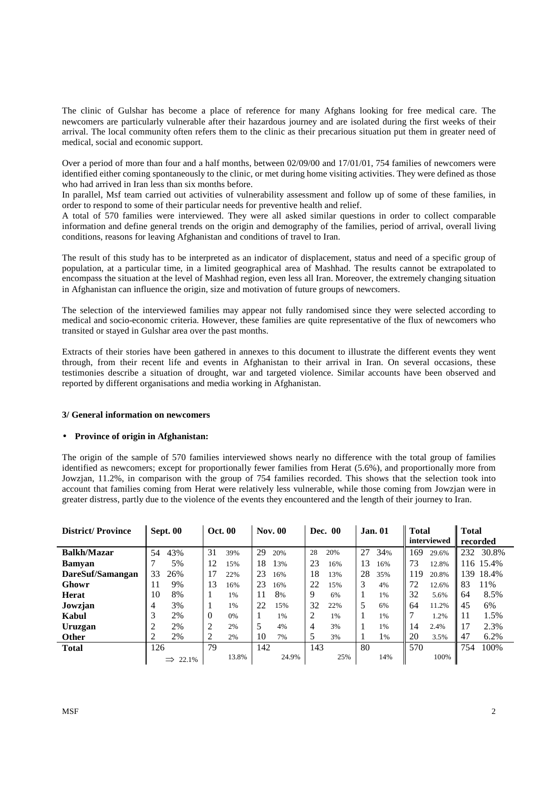The clinic of Gulshar has become a place of reference for many Afghans looking for free medical care. The newcomers are particularly vulnerable after their hazardous journey and are isolated during the first weeks of their arrival. The local community often refers them to the clinic as their precarious situation put them in greater need of medical, social and economic support.

Over a period of more than four and a half months, between 02/09/00 and 17/01/01, 754 families of newcomers were identified either coming spontaneously to the clinic, or met during home visiting activities. They were defined as those who had arrived in Iran less than six months before.

In parallel, Msf team carried out activities of vulnerability assessment and follow up of some of these families, in order to respond to some of their particular needs for preventive health and relief.

A total of 570 families were interviewed. They were all asked similar questions in order to collect comparable information and define general trends on the origin and demography of the families, period of arrival, overall living conditions, reasons for leaving Afghanistan and conditions of travel to Iran.

The result of this study has to be interpreted as an indicator of displacement, status and need of a specific group of population, at a particular time, in a limited geographical area of Mashhad. The results cannot be extrapolated to encompass the situation at the level of Mashhad region, even less all Iran. Moreover, the extremely changing situation in Afghanistan can influence the origin, size and motivation of future groups of newcomers.

The selection of the interviewed families may appear not fully randomised since they were selected according to medical and socio-economic criteria. However, these families are quite representative of the flux of newcomers who transited or stayed in Gulshar area over the past months.

Extracts of their stories have been gathered in annexes to this document to illustrate the different events they went through, from their recent life and events in Afghanistan to their arrival in Iran. On several occasions, these testimonies describe a situation of drought, war and targeted violence. Similar accounts have been observed and reported by different organisations and media working in Afghanistan.

## **3/ General information on newcomers**

## • **Province of origin in Afghanistan:**

The origin of the sample of 570 families interviewed shows nearly no difference with the total group of families identified as newcomers; except for proportionally fewer families from Herat (5.6%), and proportionally more from Jowzjan, 11.2%, in comparison with the group of 754 families recorded. This shows that the selection took into account that families coming from Herat were relatively less vulnerable, while those coming from Jowzjan were in greater distress, partly due to the violence of the events they encountered and the length of their journey to Iran.

| <b>District/Province</b> | Sept. 00 |       | <b>Oct. 00</b> |       | <b>Nov. 00</b> |       | <b>Dec. 00</b> |     | <b>Jan.</b> 01 |     | Total<br>interviewed |       | <b>Total</b><br>recorded |           |
|--------------------------|----------|-------|----------------|-------|----------------|-------|----------------|-----|----------------|-----|----------------------|-------|--------------------------|-----------|
|                          |          |       |                |       |                |       |                |     |                |     |                      |       |                          |           |
| <b>Balkh/Mazar</b>       | 54       | 43%   | 31             | 39%   | 29             | 20%   | 28             | 20% | 27             | 34% | 169                  | 29.6% | 232                      | 30.8%     |
| <b>Bamyan</b>            |          | 5%    | 12             | 15%   | 18             | 13%   | 23             | 16% | 13             | 16% | 73                   | 12.8% |                          | 116 15.4% |
| DareSuf/Samangan         | 33       | 26%   | 17             | 22%   | 23             | 16%   | 18             | 13% | 28             | 35% | 119                  | 20.8% | 139                      | 18.4%     |
| Ghowr                    | 11       | 9%    | 13             | 16%   | 23             | 16%   | 22             | 15% | 3              | 4%  | 72                   | 12.6% | 83                       | 11%       |
| Herat                    | 10       | 8%    | 1              | 1%    | 11             | 8%    | 9              | 6%  |                | 1%  | 32                   | 5.6%  | 64                       | 8.5%      |
| Jowzjan                  | 4        | 3%    |                | 1%    | 22             | 15%   | 32             | 22% | 5              | 6%  | 64                   | 11.2% | 45                       | 6%        |
| Kabul                    | 3        | 2%    | $\theta$       | 0%    |                | 1%    | 2              | 1%  |                | 1%  | 7                    | 1.2%  | 11                       | 1.5%      |
| Uruzgan                  | 2        | 2%    | $\overline{2}$ | 2%    | 5              | 4%    | 4              | 3%  |                | 1%  | 14                   | 2.4%  | 17                       | 2.3%      |
| <b>Other</b>             | 2        | 2%    |                | 2%    | 10             | 7%    |                | 3%  |                | 1%  | 20                   | 3.5%  | 47                       | 6.2%      |
| <b>Total</b>             | 126      |       | 79             |       | 142            |       | 143            |     | 80             |     | 570                  |       | 754                      | 100%      |
|                          |          | 22.1% |                | 13.8% |                | 24.9% |                | 25% |                | 14% |                      | 100%  |                          |           |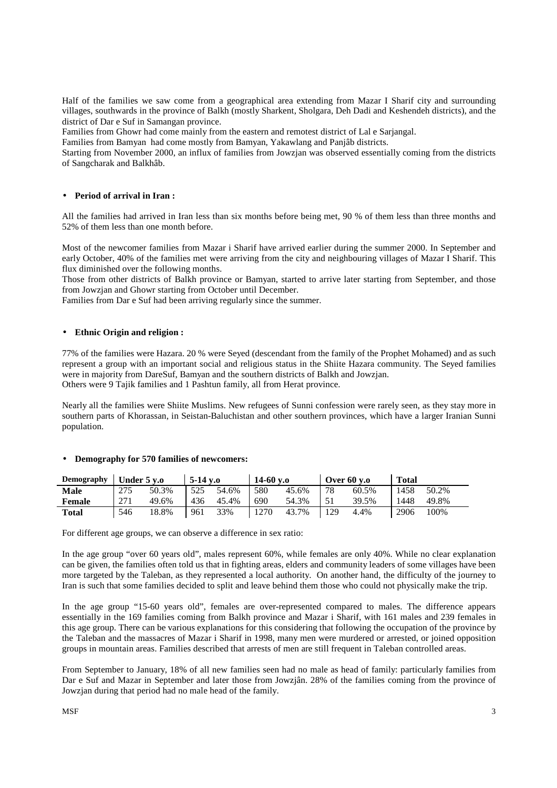Half of the families we saw come from a geographical area extending from Mazar I Sharif city and surrounding villages, southwards in the province of Balkh (mostly Sharkent, Sholgara, Deh Dadi and Keshendeh districts), and the district of Dar e Suf in Samangan province.

Families from Ghowr had come mainly from the eastern and remotest district of Lal e Sarjangal.

Families from Bamyan had come mostly from Bamyan, Yakawlang and Panjâb districts.

Starting from November 2000, an influx of families from Jowzjan was observed essentially coming from the districts of Sangcharak and Balkhâb.

## • **Period of arrival in Iran :**

All the families had arrived in Iran less than six months before being met, 90 % of them less than three months and 52% of them less than one month before.

Most of the newcomer families from Mazar i Sharif have arrived earlier during the summer 2000. In September and early October, 40% of the families met were arriving from the city and neighbouring villages of Mazar I Sharif. This flux diminished over the following months.

Those from other districts of Balkh province or Bamyan, started to arrive later starting from September, and those from Jowzjan and Ghowr starting from October until December.

Families from Dar e Suf had been arriving regularly since the summer.

## • **Ethnic Origin and religion :**

77% of the families were Hazara. 20 % were Seyed (descendant from the family of the Prophet Mohamed) and as such represent a group with an important social and religious status in the Shiite Hazara community. The Seyed families were in majority from DareSuf, Bamyan and the southern districts of Balkh and Jowzjan. Others were 9 Tajik families and 1 Pashtun family, all from Herat province.

Nearly all the families were Shiite Muslims. New refugees of Sunni confession were rarely seen, as they stay more in southern parts of Khorassan, in Seistan-Baluchistan and other southern provinces, which have a larger Iranian Sunni population.

## • **Demography for 570 families of newcomers:**

| Demography    | Under 5 v.o |       | $5-14$ v.o |       | 14-60 y.o |       | Over 60 v.o |       | <b>Total</b> |       |
|---------------|-------------|-------|------------|-------|-----------|-------|-------------|-------|--------------|-------|
| Male          | 275         | 50.3% | 525        | 54.6% | 580       | 45.6% | 78          | 60.5% | 1458         | 50.2% |
| <b>Female</b> | 271         | 49.6% | 436        | 45.4% | 690       | 54.3% |             | 39.5% | 1448         | 49.8% |
| <b>Total</b>  | 546         | 18.8% | 961        | 33%   | 1270      | 43.7% | 129         | 4.4%  | 2906         | 100%  |

For different age groups, we can observe a difference in sex ratio:

In the age group "over 60 years old", males represent 60%, while females are only 40%. While no clear explanation can be given, the families often told us that in fighting areas, elders and community leaders of some villages have been more targeted by the Taleban, as they represented a local authority. On another hand, the difficulty of the journey to Iran is such that some families decided to split and leave behind them those who could not physically make the trip.

In the age group "15-60 years old", females are over-represented compared to males. The difference appears essentially in the 169 families coming from Balkh province and Mazar i Sharif, with 161 males and 239 females in this age group. There can be various explanations for this considering that following the occupation of the province by the Taleban and the massacres of Mazar i Sharif in 1998, many men were murdered or arrested, or joined opposition groups in mountain areas. Families described that arrests of men are still frequent in Taleban controlled areas.

From September to January, 18% of all new families seen had no male as head of family: particularly families from Dar e Suf and Mazar in September and later those from Jowzjân. 28% of the families coming from the province of Jowzjan during that period had no male head of the family.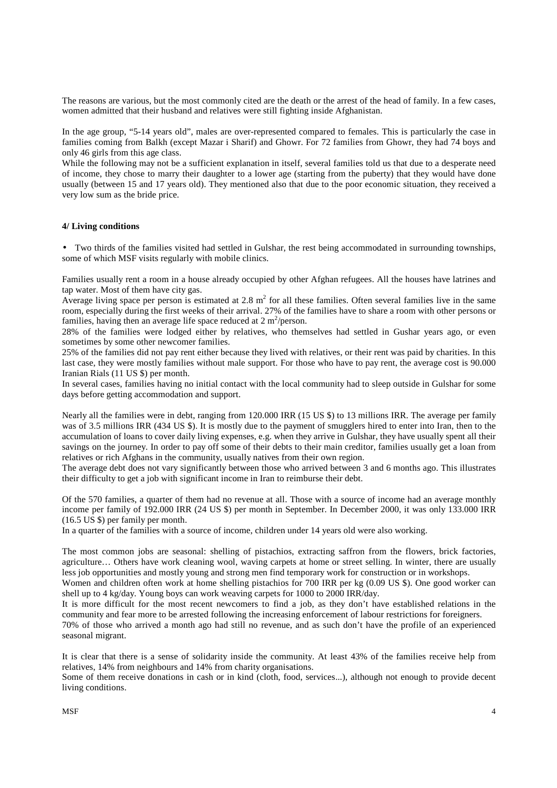The reasons are various, but the most commonly cited are the death or the arrest of the head of family. In a few cases, women admitted that their husband and relatives were still fighting inside Afghanistan.

In the age group, "5-14 years old", males are over-represented compared to females. This is particularly the case in families coming from Balkh (except Mazar i Sharif) and Ghowr. For 72 families from Ghowr, they had 74 boys and only 46 girls from this age class.

While the following may not be a sufficient explanation in itself, several families told us that due to a desperate need of income, they chose to marry their daughter to a lower age (starting from the puberty) that they would have done usually (between 15 and 17 years old). They mentioned also that due to the poor economic situation, they received a very low sum as the bride price.

## **4/ Living conditions**

• Two thirds of the families visited had settled in Gulshar, the rest being accommodated in surrounding townships, some of which MSF visits regularly with mobile clinics.

Families usually rent a room in a house already occupied by other Afghan refugees. All the houses have latrines and tap water. Most of them have city gas.

Average living space per person is estimated at  $2.8 \text{ m}^2$  for all these families. Often several families live in the same room, especially during the first weeks of their arrival. 27% of the families have to share a room with other persons or families, having then an average life space reduced at  $2 \text{ m}^2/\text{person}$ .

28% of the families were lodged either by relatives, who themselves had settled in Gushar years ago, or even sometimes by some other newcomer families.

25% of the families did not pay rent either because they lived with relatives, or their rent was paid by charities. In this last case, they were mostly families without male support. For those who have to pay rent, the average cost is 90.000 Iranian Rials (11 US \$) per month.

In several cases, families having no initial contact with the local community had to sleep outside in Gulshar for some days before getting accommodation and support.

Nearly all the families were in debt, ranging from 120.000 IRR (15 US \$) to 13 millions IRR. The average per family was of 3.5 millions IRR (434 US \$). It is mostly due to the payment of smugglers hired to enter into Iran, then to the accumulation of loans to cover daily living expenses, e.g. when they arrive in Gulshar, they have usually spent all their savings on the journey. In order to pay off some of their debts to their main creditor, families usually get a loan from relatives or rich Afghans in the community, usually natives from their own region.

The average debt does not vary significantly between those who arrived between 3 and 6 months ago. This illustrates their difficulty to get a job with significant income in Iran to reimburse their debt.

Of the 570 families, a quarter of them had no revenue at all. Those with a source of income had an average monthly income per family of 192.000 IRR (24 US \$) per month in September. In December 2000, it was only 133.000 IRR (16.5 US \$) per family per month.

In a quarter of the families with a source of income, children under 14 years old were also working.

The most common jobs are seasonal: shelling of pistachios, extracting saffron from the flowers, brick factories, agriculture… Others have work cleaning wool, waving carpets at home or street selling. In winter, there are usually less job opportunities and mostly young and strong men find temporary work for construction or in workshops.

Women and children often work at home shelling pistachios for 700 IRR per kg (0.09 US \$). One good worker can shell up to 4 kg/day. Young boys can work weaving carpets for 1000 to 2000 IRR/day.

It is more difficult for the most recent newcomers to find a job, as they don't have established relations in the community and fear more to be arrested following the increasing enforcement of labour restrictions for foreigners.

70% of those who arrived a month ago had still no revenue, and as such don't have the profile of an experienced seasonal migrant.

It is clear that there is a sense of solidarity inside the community. At least 43% of the families receive help from relatives, 14% from neighbours and 14% from charity organisations.

Some of them receive donations in cash or in kind (cloth, food, services...), although not enough to provide decent living conditions.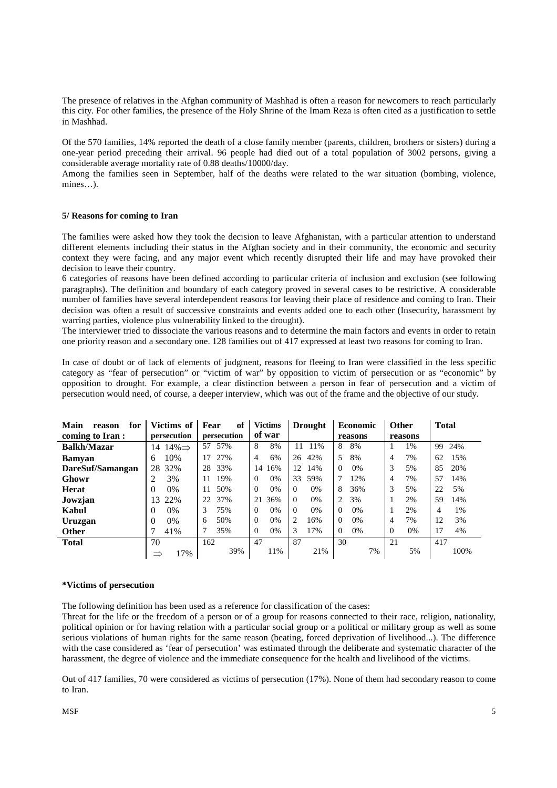The presence of relatives in the Afghan community of Mashhad is often a reason for newcomers to reach particularly this city. For other families, the presence of the Holy Shrine of the Imam Reza is often cited as a justification to settle in Mashhad.

Of the 570 families, 14% reported the death of a close family member (parents, children, brothers or sisters) during a one-year period preceding their arrival. 96 people had died out of a total population of 3002 persons, giving a considerable average mortality rate of 0.88 deaths/10000/day.

Among the families seen in September, half of the deaths were related to the war situation (bombing, violence, mines…).

## **5/ Reasons for coming to Iran**

The families were asked how they took the decision to leave Afghanistan, with a particular attention to understand different elements including their status in the Afghan society and in their community, the economic and security context they were facing, and any major event which recently disrupted their life and may have provoked their decision to leave their country.

6 categories of reasons have been defined according to particular criteria of inclusion and exclusion (see following paragraphs). The definition and boundary of each category proved in several cases to be restrictive. A considerable number of families have several interdependent reasons for leaving their place of residence and coming to Iran. Their decision was often a result of successive constraints and events added one to each other (Insecurity, harassment by warring parties, violence plus vulnerability linked to the drought).

The interviewer tried to dissociate the various reasons and to determine the main factors and events in order to retain one priority reason and a secondary one. 128 families out of 417 expressed at least two reasons for coming to Iran.

In case of doubt or of lack of elements of judgment, reasons for fleeing to Iran were classified in the less specific category as "fear of persecution" or "victim of war" by opposition to victim of persecution or as "economic" by opposition to drought. For example, a clear distinction between a person in fear of persecution and a victim of persecution would need, of course, a deeper interview, which was out of the frame and the objective of our study.

| Main<br>for<br>reason | Victims of               | of<br>Fear  | <b>Victims</b> | <b>Drought</b>    | <b>Economic</b>   | <b>Other</b>      | <b>Total</b> |
|-----------------------|--------------------------|-------------|----------------|-------------------|-------------------|-------------------|--------------|
| coming to Iran:       | persecution              | persecution | of war         |                   | reasons           | reasons           |              |
| <b>Balkh/Mazar</b>    | $14\% \Rightarrow$<br>14 | 57%<br>57   | 8<br>8%        | 1%<br>11          | 8<br>8%           | 1%                | 24%<br>99    |
| Bamvan                | 10%<br>6                 | 27%<br>17   | 6%<br>4        | 42%<br>26         | 5<br>8%           | 7%<br>4           | 15%<br>62    |
| DareSuf/Samangan      | 32%<br>28                | 33%<br>28   | 16%<br>14      | 12<br>14%         | $0\%$<br>$\Omega$ | 3<br>5%           | 85<br>20%    |
| Ghowr                 | 3%<br>2                  | 19%<br>11   | 0%<br>$\Omega$ | 33<br>59%         | 12%               | 7%<br>4           | 57<br>14%    |
| Herat                 | $0\%$<br>0               | 50%<br>11   | 0%<br>$\Omega$ | $0\%$<br>$\Omega$ | 8<br>36%          | 3<br>5%           | 22<br>5%     |
| Jowzjan               | 22%<br>13                | 37%<br>22   | 21<br>36%      | $\Omega$<br>0%    | 3%                | 2%                | 59<br>14%    |
| Kabul                 | 0%<br>0                  | 75%<br>3    | 0%<br>$\Omega$ | $\Omega$<br>0%    | $\Omega$<br>0%    | 2%                | 4<br>1%      |
| Uruzgan               | 0%<br>0                  | 50%<br>6    | $\Omega$<br>0% | 2<br>16%          | $\Omega$<br>$0\%$ | 7%<br>4           | 12<br>3%     |
| <b>Other</b>          | 41%                      | 35%         | 0%<br>$\Omega$ | 17%<br>3          | 0%<br>$\Omega$    | $0\%$<br>$\Omega$ | 17<br>4%     |
| <b>Total</b>          | 70                       | 162         | 47             | 87                | 30                | 21                | 417          |
|                       | 17%<br>$\Rightarrow$     | 39%         | 11%            | 21%               | 7%                | 5%                | 100%         |

## **\*Victims of persecution**

The following definition has been used as a reference for classification of the cases:

Threat for the life or the freedom of a person or of a group for reasons connected to their race, religion, nationality, political opinion or for having relation with a particular social group or a political or military group as well as some serious violations of human rights for the same reason (beating, forced deprivation of livelihood...). The difference with the case considered as 'fear of persecution' was estimated through the deliberate and systematic character of the harassment, the degree of violence and the immediate consequence for the health and livelihood of the victims.

Out of 417 families, 70 were considered as victims of persecution (17%). None of them had secondary reason to come to Iran.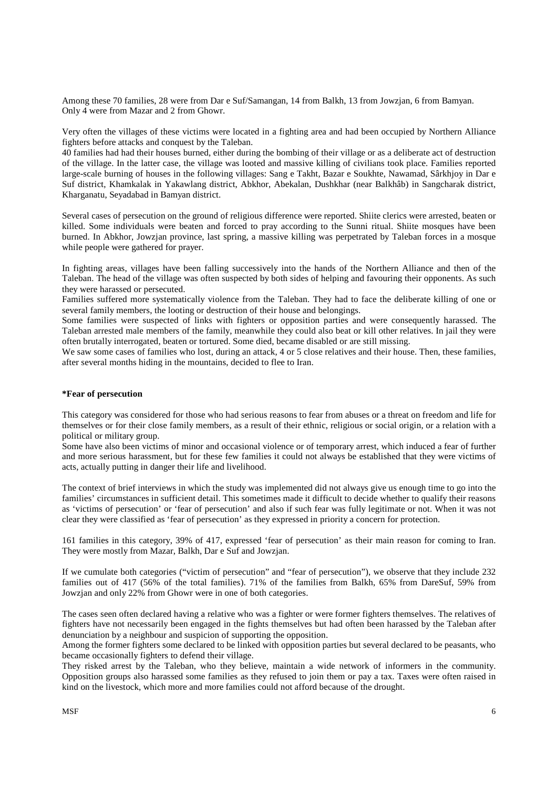Among these 70 families, 28 were from Dar e Suf/Samangan, 14 from Balkh, 13 from Jowzjan, 6 from Bamyan. Only 4 were from Mazar and 2 from Ghowr.

Very often the villages of these victims were located in a fighting area and had been occupied by Northern Alliance fighters before attacks and conquest by the Taleban.

40 families had had their houses burned, either during the bombing of their village or as a deliberate act of destruction of the village. In the latter case, the village was looted and massive killing of civilians took place. Families reported large-scale burning of houses in the following villages: Sang e Takht, Bazar e Soukhte, Nawamad, Sârkhjoy in Dar e Suf district, Khamkalak in Yakawlang district, Abkhor, Abekalan, Dushkhar (near Balkhâb) in Sangcharak district, Kharganatu, Seyadabad in Bamyan district.

Several cases of persecution on the ground of religious difference were reported. Shiite clerics were arrested, beaten or killed. Some individuals were beaten and forced to pray according to the Sunni ritual. Shiite mosques have been burned. In Abkhor, Jowzjan province, last spring, a massive killing was perpetrated by Taleban forces in a mosque while people were gathered for prayer.

In fighting areas, villages have been falling successively into the hands of the Northern Alliance and then of the Taleban. The head of the village was often suspected by both sides of helping and favouring their opponents. As such they were harassed or persecuted.

Families suffered more systematically violence from the Taleban. They had to face the deliberate killing of one or several family members, the looting or destruction of their house and belongings.

Some families were suspected of links with fighters or opposition parties and were consequently harassed. The Taleban arrested male members of the family, meanwhile they could also beat or kill other relatives. In jail they were often brutally interrogated, beaten or tortured. Some died, became disabled or are still missing.

We saw some cases of families who lost, during an attack, 4 or 5 close relatives and their house. Then, these families, after several months hiding in the mountains, decided to flee to Iran.

## **\*Fear of persecution**

This category was considered for those who had serious reasons to fear from abuses or a threat on freedom and life for themselves or for their close family members, as a result of their ethnic, religious or social origin, or a relation with a political or military group.

Some have also been victims of minor and occasional violence or of temporary arrest, which induced a fear of further and more serious harassment, but for these few families it could not always be established that they were victims of acts, actually putting in danger their life and livelihood.

The context of brief interviews in which the study was implemented did not always give us enough time to go into the families' circumstances in sufficient detail. This sometimes made it difficult to decide whether to qualify their reasons as 'victims of persecution' or 'fear of persecution' and also if such fear was fully legitimate or not. When it was not clear they were classified as 'fear of persecution' as they expressed in priority a concern for protection.

161 families in this category, 39% of 417, expressed 'fear of persecution' as their main reason for coming to Iran. They were mostly from Mazar, Balkh, Dar e Suf and Jowzjan.

If we cumulate both categories ("victim of persecution" and "fear of persecution"), we observe that they include 232 families out of 417 (56% of the total families). 71% of the families from Balkh, 65% from DareSuf, 59% from Jowzjan and only 22% from Ghowr were in one of both categories.

The cases seen often declared having a relative who was a fighter or were former fighters themselves. The relatives of fighters have not necessarily been engaged in the fights themselves but had often been harassed by the Taleban after denunciation by a neighbour and suspicion of supporting the opposition.

Among the former fighters some declared to be linked with opposition parties but several declared to be peasants, who became occasionally fighters to defend their village.

They risked arrest by the Taleban, who they believe, maintain a wide network of informers in the community. Opposition groups also harassed some families as they refused to join them or pay a tax. Taxes were often raised in kind on the livestock, which more and more families could not afford because of the drought.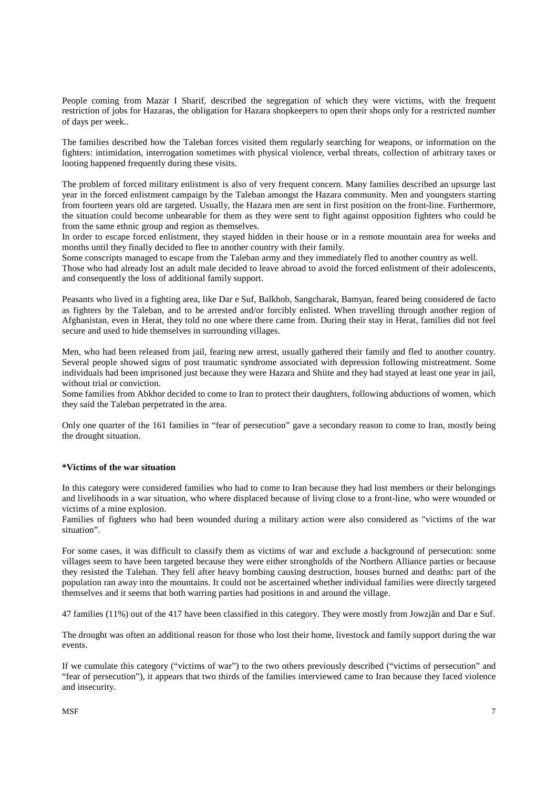People coming from Mazar I Sharif, described the segregation of which they were victims, with the frequent restriction of jobs for Hazaras, the obligation for Hazara shopkeepers to open their shops only for a restricted number of days per week..

The families described how the Taleban forces visited them regularly searching for weapons, or information on the fighters: intimidation, interrogation sometimes with physical violence, verbal threats, collection of arbitrary taxes or looting happened frequently during these visits.

The problem of forced military enlistment is also of very frequent concern. Many families described an upsurge last year in the forced enlistment campaign by the Taleban amongst the Hazara community. Men and youngsters starting from fourteen years old are targeted. Usually, the Hazara men are sent in first position on the front-line. Furthermore, the situation could become unbearable for them as they were sent to fight against opposition fighters who could be from the same ethnic group and region as themselves.

In order to escape forced enlistment, they stayed hidden in their house or in a remote mountain area for weeks and months until they finally decided to flee to another country with their family.

Some conscripts managed to escape from the Taleban army and they immediately fled to another country as well.

Those who had already lost an adult male decided to leave abroad to avoid the forced enlistment of their adolescents, and consequently the loss of additional family support.

Peasants who lived in a fighting area, like Dar e Suf, Balkhob, Sangcharak, Bamyan, feared being considered de facto as fighters by the Taleban, and to be arrested and/or forcibly enlisted. When travelling through another region of Afghanistan, even in Herat, they told no one where there came from. During their stay in Herat, families did not feel secure and used to hide themselves in surrounding villages.

Men, who had been released from jail, fearing new arrest, usually gathered their family and fled to another country. Several people showed signs of post traumatic syndrome associated with depression following mistreatment. Some individuals had been imprisoned just because they were Hazara and Shiite and they had stayed at least one year in jail, without trial or conviction.

Some families from Abkhor decided to come to Iran to protect their daughters, following abductions of women, which they said the Taleban perpetrated in the area.

Only one quarter of the 161 families in "fear of persecution" gave a secondary reason to come to Iran, mostly being the drought situation.

## **\*Victims of the war situation**

In this category were considered families who had to come to Iran because they had lost members or their belongings and livelihoods in a war situation, who where displaced because of living close to a front-line, who were wounded or victims of a mine explosion.

Families of fighters who had been wounded during a military action were also considered as "victims of the war situation".

For some cases, it was difficult to classify them as victims of war and exclude a background of persecution: some villages seem to have been targeted because they were either strongholds of the Northern Alliance parties or because they resisted the Taleban. They fell after heavy bombing causing destruction, houses burned and deaths: part of the population ran away into the mountains. It could not be ascertained whether individual families were directly targeted themselves and it seems that both warring parties had positions in and around the village.

47 families (11%) out of the 417 have been classified in this category. They were mostly from Jowzjân and Dar e Suf.

The drought was often an additional reason for those who lost their home, livestock and family support during the war events.

If we cumulate this category ("victims of war") to the two others previously described ("victims of persecution" and "fear of persecution"), it appears that two thirds of the families interviewed came to Iran because they faced violence and insecurity.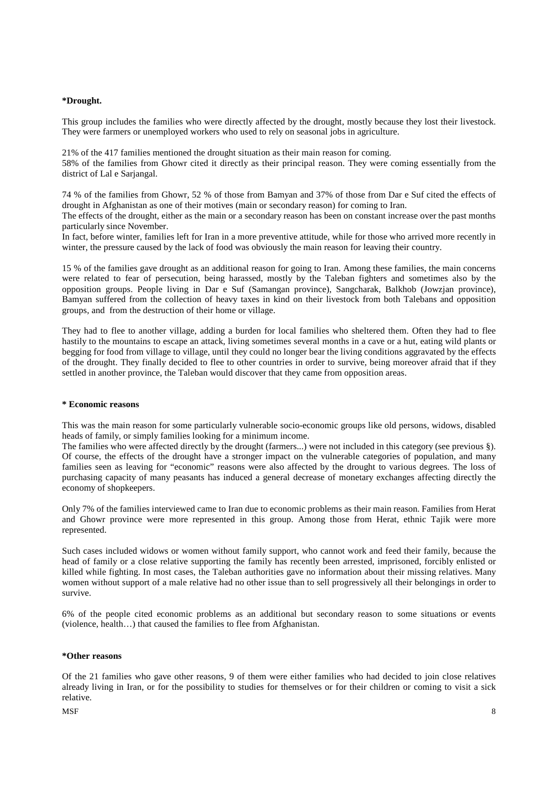## **\*Drought.**

This group includes the families who were directly affected by the drought, mostly because they lost their livestock. They were farmers or unemployed workers who used to rely on seasonal jobs in agriculture.

21% of the 417 families mentioned the drought situation as their main reason for coming. 58% of the families from Ghowr cited it directly as their principal reason. They were coming essentially from the

district of Lal e Sarjangal. 74 % of the families from Ghowr, 52 % of those from Bamyan and 37% of those from Dar e Suf cited the effects of

drought in Afghanistan as one of their motives (main or secondary reason) for coming to Iran. The effects of the drought, either as the main or a secondary reason has been on constant increase over the past months

particularly since November.

In fact, before winter, families left for Iran in a more preventive attitude, while for those who arrived more recently in winter, the pressure caused by the lack of food was obviously the main reason for leaving their country.

15 % of the families gave drought as an additional reason for going to Iran. Among these families, the main concerns were related to fear of persecution, being harassed, mostly by the Taleban fighters and sometimes also by the opposition groups. People living in Dar e Suf (Samangan province), Sangcharak, Balkhob (Jowzjan province), Bamyan suffered from the collection of heavy taxes in kind on their livestock from both Talebans and opposition groups, and from the destruction of their home or village.

They had to flee to another village, adding a burden for local families who sheltered them. Often they had to flee hastily to the mountains to escape an attack, living sometimes several months in a cave or a hut, eating wild plants or begging for food from village to village, until they could no longer bear the living conditions aggravated by the effects of the drought. They finally decided to flee to other countries in order to survive, being moreover afraid that if they settled in another province, the Taleban would discover that they came from opposition areas.

## **\* Economic reasons**

This was the main reason for some particularly vulnerable socio-economic groups like old persons, widows, disabled heads of family, or simply families looking for a minimum income.

The families who were affected directly by the drought (farmers...) were not included in this category (see previous §). Of course, the effects of the drought have a stronger impact on the vulnerable categories of population, and many families seen as leaving for "economic" reasons were also affected by the drought to various degrees. The loss of purchasing capacity of many peasants has induced a general decrease of monetary exchanges affecting directly the economy of shopkeepers.

Only 7% of the families interviewed came to Iran due to economic problems as their main reason. Families from Herat and Ghowr province were more represented in this group. Among those from Herat, ethnic Tajik were more represented.

Such cases included widows or women without family support, who cannot work and feed their family, because the head of family or a close relative supporting the family has recently been arrested, imprisoned, forcibly enlisted or killed while fighting. In most cases, the Taleban authorities gave no information about their missing relatives. Many women without support of a male relative had no other issue than to sell progressively all their belongings in order to survive.

6% of the people cited economic problems as an additional but secondary reason to some situations or events (violence, health…) that caused the families to flee from Afghanistan.

#### **\*Other reasons**

Of the 21 families who gave other reasons, 9 of them were either families who had decided to join close relatives already living in Iran, or for the possibility to studies for themselves or for their children or coming to visit a sick relative.

#### $M$ SF 8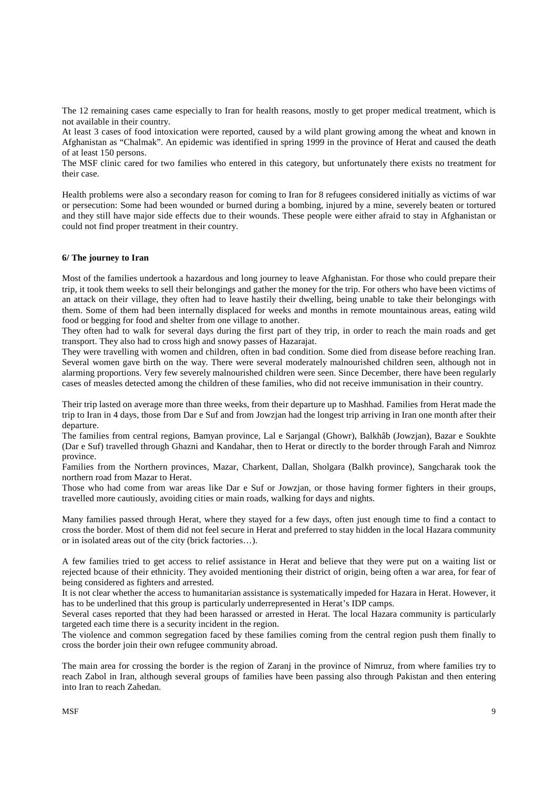The 12 remaining cases came especially to Iran for health reasons, mostly to get proper medical treatment, which is not available in their country.

At least 3 cases of food intoxication were reported, caused by a wild plant growing among the wheat and known in Afghanistan as "Chalmak". An epidemic was identified in spring 1999 in the province of Herat and caused the death of at least 150 persons.

The MSF clinic cared for two families who entered in this category, but unfortunately there exists no treatment for their case.

Health problems were also a secondary reason for coming to Iran for 8 refugees considered initially as victims of war or persecution: Some had been wounded or burned during a bombing, injured by a mine, severely beaten or tortured and they still have major side effects due to their wounds. These people were either afraid to stay in Afghanistan or could not find proper treatment in their country.

## **6/ The journey to Iran**

Most of the families undertook a hazardous and long journey to leave Afghanistan. For those who could prepare their trip, it took them weeks to sell their belongings and gather the money for the trip. For others who have been victims of an attack on their village, they often had to leave hastily their dwelling, being unable to take their belongings with them. Some of them had been internally displaced for weeks and months in remote mountainous areas, eating wild food or begging for food and shelter from one village to another.

They often had to walk for several days during the first part of they trip, in order to reach the main roads and get transport. They also had to cross high and snowy passes of Hazarajat.

They were travelling with women and children, often in bad condition. Some died from disease before reaching Iran. Several women gave birth on the way. There were several moderately malnourished children seen, although not in alarming proportions. Very few severely malnourished children were seen. Since December, there have been regularly cases of measles detected among the children of these families, who did not receive immunisation in their country.

Their trip lasted on average more than three weeks, from their departure up to Mashhad. Families from Herat made the trip to Iran in 4 days, those from Dar e Suf and from Jowzjan had the longest trip arriving in Iran one month after their departure.

The families from central regions, Bamyan province, Lal e Sarjangal (Ghowr), Balkhâb (Jowzjan), Bazar e Soukhte (Dar e Suf) travelled through Ghazni and Kandahar, then to Herat or directly to the border through Farah and Nimroz province.

Families from the Northern provinces, Mazar, Charkent, Dallan, Sholgara (Balkh province), Sangcharak took the northern road from Mazar to Herat.

Those who had come from war areas like Dar e Suf or Jowzjan, or those having former fighters in their groups, travelled more cautiously, avoiding cities or main roads, walking for days and nights.

Many families passed through Herat, where they stayed for a few days, often just enough time to find a contact to cross the border. Most of them did not feel secure in Herat and preferred to stay hidden in the local Hazara community or in isolated areas out of the city (brick factories…).

A few families tried to get access to relief assistance in Herat and believe that they were put on a waiting list or rejected bcause of their ethnicity. They avoided mentioning their district of origin, being often a war area, for fear of being considered as fighters and arrested.

It is not clear whether the access to humanitarian assistance is systematically impeded for Hazara in Herat. However, it has to be underlined that this group is particularly underrepresented in Herat's IDP camps.

Several cases reported that they had been harassed or arrested in Herat. The local Hazara community is particularly targeted each time there is a security incident in the region.

The violence and common segregation faced by these families coming from the central region push them finally to cross the border join their own refugee community abroad.

The main area for crossing the border is the region of Zaranj in the province of Nimruz, from where families try to reach Zabol in Iran, although several groups of families have been passing also through Pakistan and then entering into Iran to reach Zahedan.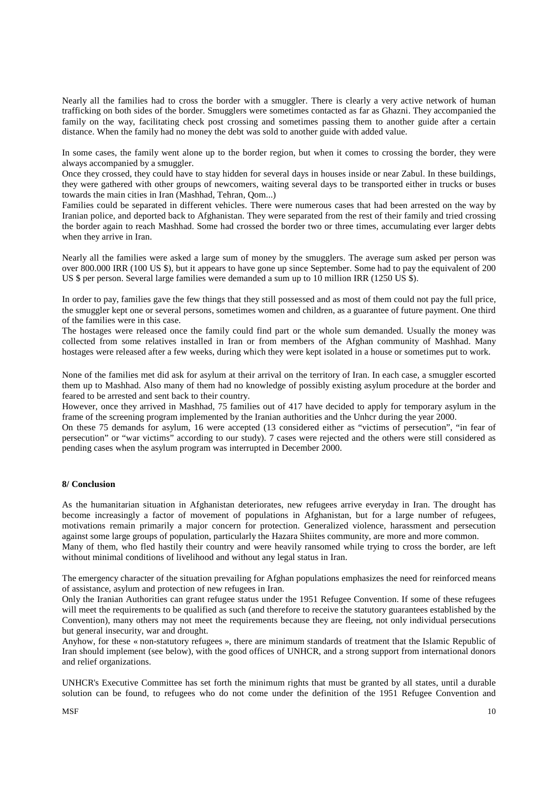Nearly all the families had to cross the border with a smuggler. There is clearly a very active network of human trafficking on both sides of the border. Smugglers were sometimes contacted as far as Ghazni. They accompanied the family on the way, facilitating check post crossing and sometimes passing them to another guide after a certain distance. When the family had no money the debt was sold to another guide with added value.

In some cases, the family went alone up to the border region, but when it comes to crossing the border, they were always accompanied by a smuggler.

Once they crossed, they could have to stay hidden for several days in houses inside or near Zabul. In these buildings, they were gathered with other groups of newcomers, waiting several days to be transported either in trucks or buses towards the main cities in Iran (Mashhad, Tehran, Qom...)

Families could be separated in different vehicles. There were numerous cases that had been arrested on the way by Iranian police, and deported back to Afghanistan. They were separated from the rest of their family and tried crossing the border again to reach Mashhad. Some had crossed the border two or three times, accumulating ever larger debts when they arrive in Iran.

Nearly all the families were asked a large sum of money by the smugglers. The average sum asked per person was over 800.000 IRR (100 US \$), but it appears to have gone up since September. Some had to pay the equivalent of 200 US \$ per person. Several large families were demanded a sum up to 10 million IRR (1250 US \$).

In order to pay, families gave the few things that they still possessed and as most of them could not pay the full price, the smuggler kept one or several persons, sometimes women and children, as a guarantee of future payment. One third of the families were in this case.

The hostages were released once the family could find part or the whole sum demanded. Usually the money was collected from some relatives installed in Iran or from members of the Afghan community of Mashhad. Many hostages were released after a few weeks, during which they were kept isolated in a house or sometimes put to work.

None of the families met did ask for asylum at their arrival on the territory of Iran. In each case, a smuggler escorted them up to Mashhad. Also many of them had no knowledge of possibly existing asylum procedure at the border and feared to be arrested and sent back to their country.

However, once they arrived in Mashhad, 75 families out of 417 have decided to apply for temporary asylum in the frame of the screening program implemented by the Iranian authorities and the Unhcr during the year 2000.

On these 75 demands for asylum, 16 were accepted (13 considered either as "victims of persecution", "in fear of persecution" or "war victims" according to our study). 7 cases were rejected and the others were still considered as pending cases when the asylum program was interrupted in December 2000.

## **8/ Conclusion**

As the humanitarian situation in Afghanistan deteriorates, new refugees arrive everyday in Iran. The drought has become increasingly a factor of movement of populations in Afghanistan, but for a large number of refugees, motivations remain primarily a major concern for protection. Generalized violence, harassment and persecution against some large groups of population, particularly the Hazara Shiites community, are more and more common. Many of them, who fled hastily their country and were heavily ransomed while trying to cross the border, are left without minimal conditions of livelihood and without any legal status in Iran.

The emergency character of the situation prevailing for Afghan populations emphasizes the need for reinforced means of assistance, asylum and protection of new refugees in Iran.

Only the Iranian Authorities can grant refugee status under the 1951 Refugee Convention. If some of these refugees will meet the requirements to be qualified as such (and therefore to receive the statutory guarantees established by the Convention), many others may not meet the requirements because they are fleeing, not only individual persecutions but general insecurity, war and drought.

Anyhow, for these « non-statutory refugees », there are minimum standards of treatment that the Islamic Republic of Iran should implement (see below), with the good offices of UNHCR, and a strong support from international donors and relief organizations.

UNHCR's Executive Committee has set forth the minimum rights that must be granted by all states, until a durable solution can be found, to refugees who do not come under the definition of the 1951 Refugee Convention and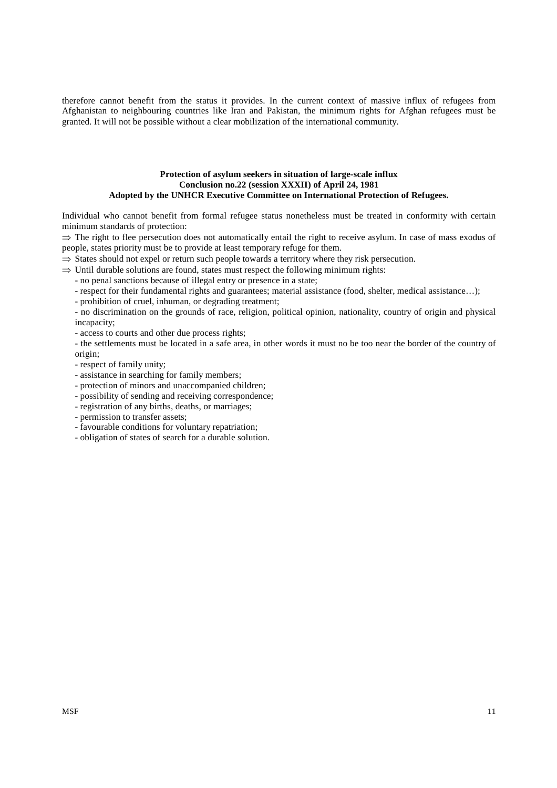therefore cannot benefit from the status it provides. In the current context of massive influx of refugees from Afghanistan to neighbouring countries like Iran and Pakistan, the minimum rights for Afghan refugees must be granted. It will not be possible without a clear mobilization of the international community.

## **Protection of asylum seekers in situation of large-scale influx Conclusion no.22 (session XXXII) of April 24, 1981 Adopted by the UNHCR Executive Committee on International Protection of Refugees.**

Individual who cannot benefit from formal refugee status nonetheless must be treated in conformity with certain minimum standards of protection:

 $\Rightarrow$  The right to flee persecution does not automatically entail the right to receive asylum. In case of mass exodus of people, states priority must be to provide at least temporary refuge for them.

 $\Rightarrow$  States should not expel or return such people towards a territory where they risk persecution.

 $\Rightarrow$  Until durable solutions are found, states must respect the following minimum rights:

- no penal sanctions because of illegal entry or presence in a state;

- respect for their fundamental rights and guarantees; material assistance (food, shelter, medical assistance…);

- prohibition of cruel, inhuman, or degrading treatment;

- no discrimination on the grounds of race, religion, political opinion, nationality, country of origin and physical incapacity;

- access to courts and other due process rights;

- the settlements must be located in a safe area, in other words it must no be too near the border of the country of origin;

- respect of family unity;

- assistance in searching for family members;
- protection of minors and unaccompanied children;
- possibility of sending and receiving correspondence;
- registration of any births, deaths, or marriages;
- permission to transfer assets;
- favourable conditions for voluntary repatriation;
- obligation of states of search for a durable solution.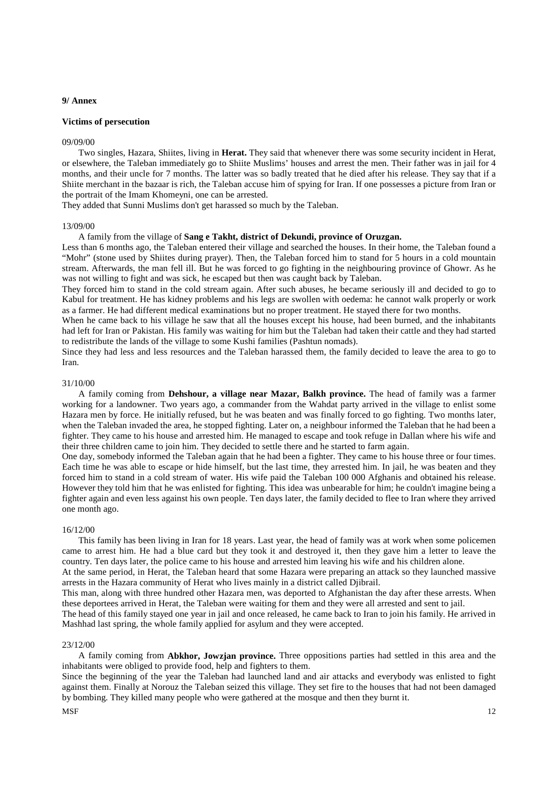## **9/ Annex**

## **Victims of persecution**

#### 09/09/00

Two singles, Hazara, Shiites, living in **Herat.** They said that whenever there was some security incident in Herat, or elsewhere, the Taleban immediately go to Shiite Muslims' houses and arrest the men. Their father was in jail for 4 months, and their uncle for 7 months. The latter was so badly treated that he died after his release. They say that if a Shiite merchant in the bazaar is rich, the Taleban accuse him of spying for Iran. If one possesses a picture from Iran or the portrait of the Imam Khomeyni, one can be arrested.

They added that Sunni Muslims don't get harassed so much by the Taleban.

#### 13/09/00

A family from the village of **Sang e Takht, district of Dekundi, province of Oruzgan.**

Less than 6 months ago, the Taleban entered their village and searched the houses. In their home, the Taleban found a "Mohr" (stone used by Shiites during prayer). Then, the Taleban forced him to stand for 5 hours in a cold mountain stream. Afterwards, the man fell ill. But he was forced to go fighting in the neighbouring province of Ghowr. As he was not willing to fight and was sick, he escaped but then was caught back by Taleban.

They forced him to stand in the cold stream again. After such abuses, he became seriously ill and decided to go to Kabul for treatment. He has kidney problems and his legs are swollen with oedema: he cannot walk properly or work as a farmer. He had different medical examinations but no proper treatment. He stayed there for two months.

When he came back to his village he saw that all the houses except his house, had been burned, and the inhabitants had left for Iran or Pakistan. His family was waiting for him but the Taleban had taken their cattle and they had started to redistribute the lands of the village to some Kushi families (Pashtun nomads).

Since they had less and less resources and the Taleban harassed them, the family decided to leave the area to go to Iran.

#### 31/10/00

A family coming from **Dehshour, a village near Mazar, Balkh province.** The head of family was a farmer working for a landowner. Two years ago, a commander from the Wahdat party arrived in the village to enlist some Hazara men by force. He initially refused, but he was beaten and was finally forced to go fighting. Two months later, when the Taleban invaded the area, he stopped fighting. Later on, a neighbour informed the Taleban that he had been a fighter. They came to his house and arrested him. He managed to escape and took refuge in Dallan where his wife and their three children came to join him. They decided to settle there and he started to farm again.

One day, somebody informed the Taleban again that he had been a fighter. They came to his house three or four times. Each time he was able to escape or hide himself, but the last time, they arrested him. In jail, he was beaten and they forced him to stand in a cold stream of water. His wife paid the Taleban 100 000 Afghanis and obtained his release. However they told him that he was enlisted for fighting. This idea was unbearable for him; he couldn't imagine being a fighter again and even less against his own people. Ten days later, the family decided to flee to Iran where they arrived one month ago.

#### 16/12/00

This family has been living in Iran for 18 years. Last year, the head of family was at work when some policemen came to arrest him. He had a blue card but they took it and destroyed it, then they gave him a letter to leave the country. Ten days later, the police came to his house and arrested him leaving his wife and his children alone.

At the same period, in Herat, the Taleban heard that some Hazara were preparing an attack so they launched massive arrests in the Hazara community of Herat who lives mainly in a district called Djibrail.

This man, along with three hundred other Hazara men, was deported to Afghanistan the day after these arrests. When these deportees arrived in Herat, the Taleban were waiting for them and they were all arrested and sent to jail.

The head of this family stayed one year in jail and once released, he came back to Iran to join his family. He arrived in Mashhad last spring, the whole family applied for asylum and they were accepted.

#### 23/12/00

A family coming from **Abkhor, Jowzjan province.** Three oppositions parties had settled in this area and the inhabitants were obliged to provide food, help and fighters to them.

Since the beginning of the year the Taleban had launched land and air attacks and everybody was enlisted to fight against them. Finally at Norouz the Taleban seized this village. They set fire to the houses that had not been damaged by bombing. They killed many people who were gathered at the mosque and then they burnt it.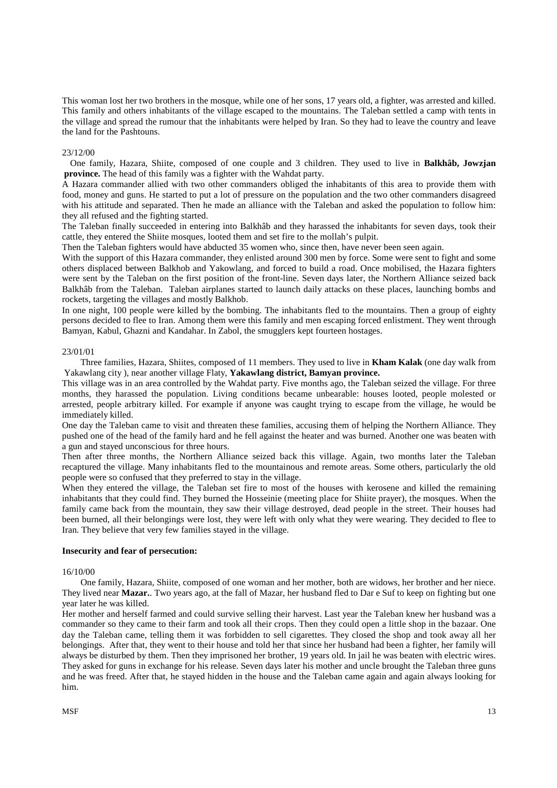This woman lost her two brothers in the mosque, while one of her sons, 17 years old, a fighter, was arrested and killed. This family and others inhabitants of the village escaped to the mountains. The Taleban settled a camp with tents in the village and spread the rumour that the inhabitants were helped by Iran. So they had to leave the country and leave the land for the Pashtouns.

#### 23/12/00

One family, Hazara, Shiite, composed of one couple and 3 children. They used to live in **Balkhâb, Jowzjan province.** The head of this family was a fighter with the Wahdat party.

A Hazara commander allied with two other commanders obliged the inhabitants of this area to provide them with food, money and guns. He started to put a lot of pressure on the population and the two other commanders disagreed with his attitude and separated. Then he made an alliance with the Taleban and asked the population to follow him: they all refused and the fighting started.

The Taleban finally succeeded in entering into Balkhâb and they harassed the inhabitants for seven days, took their cattle, they entered the Shiite mosques, looted them and set fire to the mollah's pulpit.

Then the Taleban fighters would have abducted 35 women who, since then, have never been seen again.

With the support of this Hazara commander, they enlisted around 300 men by force. Some were sent to fight and some others displaced between Balkhob and Yakowlang, and forced to build a road. Once mobilised, the Hazara fighters were sent by the Taleban on the first position of the front-line. Seven days later, the Northern Alliance seized back Balkhâb from the Taleban. Taleban airplanes started to launch daily attacks on these places, launching bombs and rockets, targeting the villages and mostly Balkhob.

In one night, 100 people were killed by the bombing. The inhabitants fled to the mountains. Then a group of eighty persons decided to flee to Iran. Among them were this family and men escaping forced enlistment. They went through Bamyan, Kabul, Ghazni and Kandahar. In Zabol, the smugglers kept fourteen hostages.

## 23/01/01

Three families, Hazara, Shiites, composed of 11 members. They used to live in **Kham Kalak** (one day walk from Yakawlang city ), near another village Flaty, **Yakawlang district, Bamyan province.**

This village was in an area controlled by the Wahdat party. Five months ago, the Taleban seized the village. For three months, they harassed the population. Living conditions became unbearable: houses looted, people molested or arrested, people arbitrary killed. For example if anyone was caught trying to escape from the village, he would be immediately killed.

One day the Taleban came to visit and threaten these families, accusing them of helping the Northern Alliance. They pushed one of the head of the family hard and he fell against the heater and was burned. Another one was beaten with a gun and stayed unconscious for three hours.

Then after three months, the Northern Alliance seized back this village. Again, two months later the Taleban recaptured the village. Many inhabitants fled to the mountainous and remote areas. Some others, particularly the old people were so confused that they preferred to stay in the village.

When they entered the village, the Taleban set fire to most of the houses with kerosene and killed the remaining inhabitants that they could find. They burned the Hosseinie (meeting place for Shiite prayer), the mosques. When the family came back from the mountain, they saw their village destroyed, dead people in the street. Their houses had been burned, all their belongings were lost, they were left with only what they were wearing. They decided to flee to Iran. They believe that very few families stayed in the village.

#### **Insecurity and fear of persecution:**

#### 16/10/00

One family, Hazara, Shiite, composed of one woman and her mother, both are widows, her brother and her niece. They lived near **Mazar.**. Two years ago, at the fall of Mazar, her husband fled to Dar e Suf to keep on fighting but one year later he was killed.

Her mother and herself farmed and could survive selling their harvest. Last year the Taleban knew her husband was a commander so they came to their farm and took all their crops. Then they could open a little shop in the bazaar. One day the Taleban came, telling them it was forbidden to sell cigarettes. They closed the shop and took away all her belongings. After that, they went to their house and told her that since her husband had been a fighter, her family will always be disturbed by them. Then they imprisoned her brother, 19 years old. In jail he was beaten with electric wires. They asked for guns in exchange for his release. Seven days later his mother and uncle brought the Taleban three guns and he was freed. After that, he stayed hidden in the house and the Taleban came again and again always looking for him.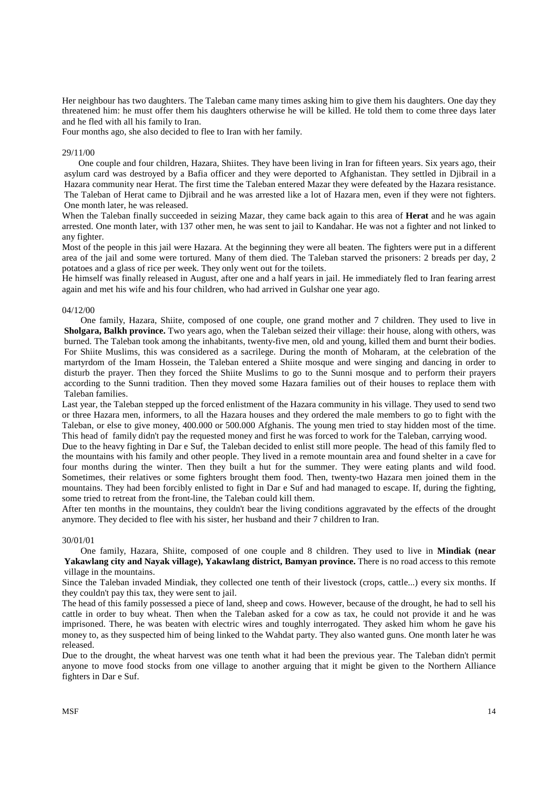Her neighbour has two daughters. The Taleban came many times asking him to give them his daughters. One day they threatened him: he must offer them his daughters otherwise he will be killed. He told them to come three days later and he fled with all his family to Iran.

Four months ago, she also decided to flee to Iran with her family.

#### 29/11/00

One couple and four children, Hazara, Shiites. They have been living in Iran for fifteen years. Six years ago, their asylum card was destroyed by a Bafia officer and they were deported to Afghanistan. They settled in Djibrail in a Hazara community near Herat. The first time the Taleban entered Mazar they were defeated by the Hazara resistance. The Taleban of Herat came to Djibrail and he was arrested like a lot of Hazara men, even if they were not fighters. One month later, he was released.

When the Taleban finally succeeded in seizing Mazar, they came back again to this area of **Herat** and he was again arrested. One month later, with 137 other men, he was sent to jail to Kandahar. He was not a fighter and not linked to any fighter.

Most of the people in this jail were Hazara. At the beginning they were all beaten. The fighters were put in a different area of the jail and some were tortured. Many of them died. The Taleban starved the prisoners: 2 breads per day, 2 potatoes and a glass of rice per week. They only went out for the toilets.

He himself was finally released in August, after one and a half years in jail. He immediately fled to Iran fearing arrest again and met his wife and his four children, who had arrived in Gulshar one year ago.

#### 04/12/00

One family, Hazara, Shiite, composed of one couple, one grand mother and 7 children. They used to live in **Sholgara, Balkh province.** Two years ago, when the Taleban seized their village: their house, along with others, was burned. The Taleban took among the inhabitants, twenty-five men, old and young, killed them and burnt their bodies. For Shiite Muslims, this was considered as a sacrilege. During the month of Moharam, at the celebration of the martyrdom of the Imam Hossein, the Taleban entered a Shiite mosque and were singing and dancing in order to disturb the prayer. Then they forced the Shiite Muslims to go to the Sunni mosque and to perform their prayers according to the Sunni tradition. Then they moved some Hazara families out of their houses to replace them with Taleban families.

Last year, the Taleban stepped up the forced enlistment of the Hazara community in his village. They used to send two or three Hazara men, informers, to all the Hazara houses and they ordered the male members to go to fight with the Taleban, or else to give money, 400.000 or 500.000 Afghanis. The young men tried to stay hidden most of the time. This head of family didn't pay the requested money and first he was forced to work for the Taleban, carrying wood.

Due to the heavy fighting in Dar e Suf, the Taleban decided to enlist still more people. The head of this family fled to the mountains with his family and other people. They lived in a remote mountain area and found shelter in a cave for four months during the winter. Then they built a hut for the summer. They were eating plants and wild food. Sometimes, their relatives or some fighters brought them food. Then, twenty-two Hazara men joined them in the mountains. They had been forcibly enlisted to fight in Dar e Suf and had managed to escape. If, during the fighting, some tried to retreat from the front-line, the Taleban could kill them.

After ten months in the mountains, they couldn't bear the living conditions aggravated by the effects of the drought anymore. They decided to flee with his sister, her husband and their 7 children to Iran.

#### 30/01/01

One family, Hazara, Shiite, composed of one couple and 8 children. They used to live in **Mindiak (near**  Yakawlang city and Nayak village), Yakawlang district, Bamyan province. There is no road access to this remote village in the mountains.

Since the Taleban invaded Mindiak, they collected one tenth of their livestock (crops, cattle...) every six months. If they couldn't pay this tax, they were sent to jail.

The head of this family possessed a piece of land, sheep and cows. However, because of the drought, he had to sell his cattle in order to buy wheat. Then when the Taleban asked for a cow as tax, he could not provide it and he was imprisoned. There, he was beaten with electric wires and toughly interrogated. They asked him whom he gave his money to, as they suspected him of being linked to the Wahdat party. They also wanted guns. One month later he was released.

Due to the drought, the wheat harvest was one tenth what it had been the previous year. The Taleban didn't permit anyone to move food stocks from one village to another arguing that it might be given to the Northern Alliance fighters in Dar e Suf.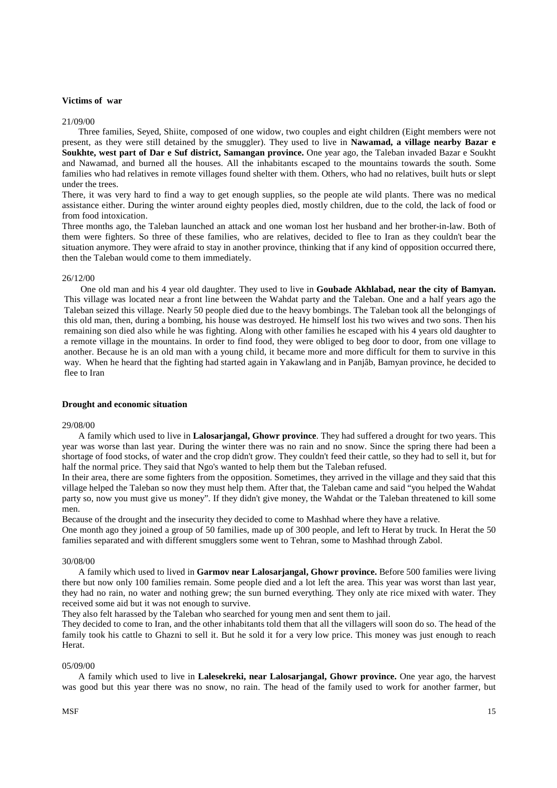## **Victims of war**

#### 21/09/00

Three families, Seyed, Shiite, composed of one widow, two couples and eight children (Eight members were not present, as they were still detained by the smuggler). They used to live in **Nawamad, a village nearby Bazar e Soukhte, west part of Dar e Suf district, Samangan province.** One year ago, the Taleban invaded Bazar e Soukht and Nawamad, and burned all the houses. All the inhabitants escaped to the mountains towards the south. Some families who had relatives in remote villages found shelter with them. Others, who had no relatives, built huts or slept under the trees.

There, it was very hard to find a way to get enough supplies, so the people ate wild plants. There was no medical assistance either. During the winter around eighty peoples died, mostly children, due to the cold, the lack of food or from food intoxication.

Three months ago, the Taleban launched an attack and one woman lost her husband and her brother-in-law. Both of them were fighters. So three of these families, who are relatives, decided to flee to Iran as they couldn't bear the situation anymore. They were afraid to stay in another province, thinking that if any kind of opposition occurred there, then the Taleban would come to them immediately.

#### 26/12/00

One old man and his 4 year old daughter. They used to live in **Goubade Akhlabad, near the city of Bamyan.** This village was located near a front line between the Wahdat party and the Taleban. One and a half years ago the Taleban seized this village. Nearly 50 people died due to the heavy bombings. The Taleban took all the belongings of this old man, then, during a bombing, his house was destroyed. He himself lost his two wives and two sons. Then his remaining son died also while he was fighting. Along with other families he escaped with his 4 years old daughter to a remote village in the mountains. In order to find food, they were obliged to beg door to door, from one village to another. Because he is an old man with a young child, it became more and more difficult for them to survive in this way. When he heard that the fighting had started again in Yakawlang and in Panjâb, Bamyan province, he decided to flee to Iran

## **Drought and economic situation**

#### 29/08/00

A family which used to live in **Lalosarjangal, Ghowr province**. They had suffered a drought for two years. This year was worse than last year. During the winter there was no rain and no snow. Since the spring there had been a shortage of food stocks, of water and the crop didn't grow. They couldn't feed their cattle, so they had to sell it, but for half the normal price. They said that Ngo's wanted to help them but the Taleban refused.

In their area, there are some fighters from the opposition. Sometimes, they arrived in the village and they said that this village helped the Taleban so now they must help them. After that, the Taleban came and said "you helped the Wahdat party so, now you must give us money". If they didn't give money, the Wahdat or the Taleban threatened to kill some men.

Because of the drought and the insecurity they decided to come to Mashhad where they have a relative.

One month ago they joined a group of 50 families, made up of 300 people, and left to Herat by truck. In Herat the 50 families separated and with different smugglers some went to Tehran, some to Mashhad through Zabol.

#### 30/08/00

A family which used to lived in **Garmov near Lalosarjangal, Ghowr province.** Before 500 families were living there but now only 100 families remain. Some people died and a lot left the area. This year was worst than last year, they had no rain, no water and nothing grew; the sun burned everything. They only ate rice mixed with water. They received some aid but it was not enough to survive.

They also felt harassed by the Taleban who searched for young men and sent them to jail.

They decided to come to Iran, and the other inhabitants told them that all the villagers will soon do so. The head of the family took his cattle to Ghazni to sell it. But he sold it for a very low price. This money was just enough to reach Herat.

#### 05/09/00

A family which used to live in **Lalesekreki, near Lalosarjangal, Ghowr province.** One year ago, the harvest was good but this year there was no snow, no rain. The head of the family used to work for another farmer, but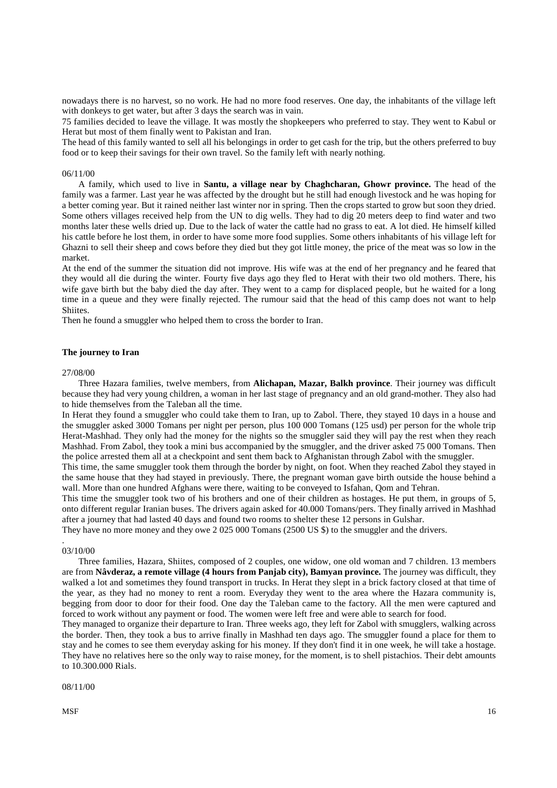nowadays there is no harvest, so no work. He had no more food reserves. One day, the inhabitants of the village left with donkeys to get water, but after 3 days the search was in vain.

75 families decided to leave the village. It was mostly the shopkeepers who preferred to stay. They went to Kabul or Herat but most of them finally went to Pakistan and Iran.

The head of this family wanted to sell all his belongings in order to get cash for the trip, but the others preferred to buy food or to keep their savings for their own travel. So the family left with nearly nothing.

#### 06/11/00

A family, which used to live in **Santu, a village near by Chaghcharan, Ghowr province.** The head of the family was a farmer. Last year he was affected by the drought but he still had enough livestock and he was hoping for a better coming year. But it rained neither last winter nor in spring. Then the crops started to grow but soon they dried. Some others villages received help from the UN to dig wells. They had to dig 20 meters deep to find water and two months later these wells dried up. Due to the lack of water the cattle had no grass to eat. A lot died. He himself killed his cattle before he lost them, in order to have some more food supplies. Some others inhabitants of his village left for Ghazni to sell their sheep and cows before they died but they got little money, the price of the meat was so low in the market.

At the end of the summer the situation did not improve. His wife was at the end of her pregnancy and he feared that they would all die during the winter. Fourty five days ago they fled to Herat with their two old mothers. There, his wife gave birth but the baby died the day after. They went to a camp for displaced people, but he waited for a long time in a queue and they were finally rejected. The rumour said that the head of this camp does not want to help **Shiites**.

Then he found a smuggler who helped them to cross the border to Iran.

## **The journey to Iran**

#### 27/08/00

Three Hazara families, twelve members, from **Alichapan, Mazar, Balkh province**. Their journey was difficult because they had very young children, a woman in her last stage of pregnancy and an old grand-mother. They also had to hide themselves from the Taleban all the time.

In Herat they found a smuggler who could take them to Iran, up to Zabol. There, they stayed 10 days in a house and the smuggler asked 3000 Tomans per night per person, plus 100 000 Tomans (125 usd) per person for the whole trip Herat-Mashhad. They only had the money for the nights so the smuggler said they will pay the rest when they reach Mashhad. From Zabol, they took a mini bus accompanied by the smuggler, and the driver asked 75 000 Tomans. Then the police arrested them all at a checkpoint and sent them back to Afghanistan through Zabol with the smuggler.

This time, the same smuggler took them through the border by night, on foot. When they reached Zabol they stayed in the same house that they had stayed in previously. There, the pregnant woman gave birth outside the house behind a wall. More than one hundred Afghans were there, waiting to be conveyed to Isfahan, Qom and Tehran.

This time the smuggler took two of his brothers and one of their children as hostages. He put them, in groups of 5, onto different regular Iranian buses. The drivers again asked for 40.000 Tomans/pers. They finally arrived in Mashhad after a journey that had lasted 40 days and found two rooms to shelter these 12 persons in Gulshar.

They have no more money and they owe 2 025 000 Tomans (2500 US \$) to the smuggler and the drivers.

#### 03/10/00

.

Three families, Hazara, Shiites, composed of 2 couples, one widow, one old woman and 7 children. 13 members are from **Nâvderaz, a remote village (4 hours from Panjab city), Bamyan province.** The journey was difficult, they walked a lot and sometimes they found transport in trucks. In Herat they slept in a brick factory closed at that time of the year, as they had no money to rent a room. Everyday they went to the area where the Hazara community is, begging from door to door for their food. One day the Taleban came to the factory. All the men were captured and forced to work without any payment or food. The women were left free and were able to search for food.

They managed to organize their departure to Iran. Three weeks ago, they left for Zabol with smugglers, walking across the border. Then, they took a bus to arrive finally in Mashhad ten days ago. The smuggler found a place for them to stay and he comes to see them everyday asking for his money. If they don't find it in one week, he will take a hostage. They have no relatives here so the only way to raise money, for the moment, is to shell pistachios. Their debt amounts to 10.300.000 Rials.

08/11/00

 $MSF$  16